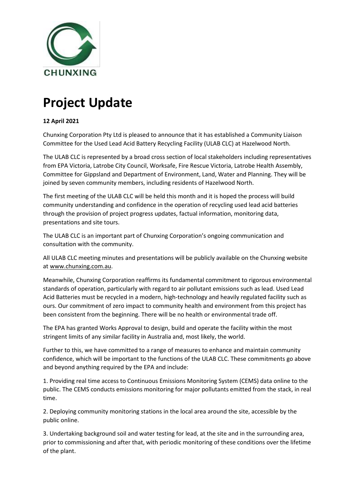

## **Project Update**

## **12 April 2021**

Chunxing Corporation Pty Ltd is pleased to announce that it has established a Community Liaison Committee for the Used Lead Acid Battery Recycling Facility (ULAB CLC) at Hazelwood North.

The ULAB CLC is represented by a broad cross section of local stakeholders including representatives from EPA Victoria, Latrobe City Council, Worksafe, Fire Rescue Victoria, Latrobe Health Assembly, Committee for Gippsland and Department of Environment, Land, Water and Planning. They will be joined by seven community members, including residents of Hazelwood North.

The first meeting of the ULAB CLC will be held this month and it is hoped the process will build community understanding and confidence in the operation of recycling used lead acid batteries through the provision of project progress updates, factual information, monitoring data, presentations and site tours.

The ULAB CLC is an important part of Chunxing Corporation's ongoing communication and consultation with the community.

All ULAB CLC meeting minutes and presentations will be publicly available on the Chunxing website a[t www.chunxing.com.au.](http://www.chunxing.com.au/)

Meanwhile, Chunxing Corporation reaffirms its fundamental commitment to rigorous environmental standards of operation, particularly with regard to air pollutant emissions such as lead. Used Lead Acid Batteries must be recycled in a modern, high-technology and heavily regulated facility such as ours. Our commitment of zero impact to community health and environment from this project has been consistent from the beginning. There will be no health or environmental trade off.

The EPA has granted Works Approval to design, build and operate the facility within the most stringent limits of any similar facility in Australia and, most likely, the world.

Further to this, we have committed to a range of measures to enhance and maintain community confidence, which will be important to the functions of the ULAB CLC. These commitments go above and beyond anything required by the EPA and include:

1. Providing real time access to Continuous Emissions Monitoring System (CEMS) data online to the public. The CEMS conducts emissions monitoring for major pollutants emitted from the stack, in real time.

2. Deploying community monitoring stations in the local area around the site, accessible by the public online.

3. Undertaking background soil and water testing for lead, at the site and in the surrounding area, prior to commissioning and after that, with periodic monitoring of these conditions over the lifetime of the plant.